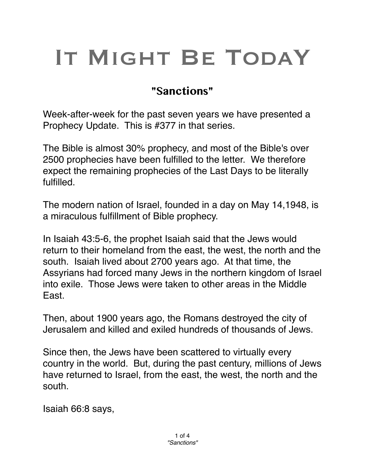## IT MIGHT BE TODAY

## **"Sanctions"**

Week-after-week for the past seven years we have presented a Prophecy Update. This is #377 in that series.

The Bible is almost 30% prophecy, and most of the Bible's over 2500 prophecies have been fulfilled to the letter. We therefore expect the remaining prophecies of the Last Days to be literally fulfilled.

The modern nation of Israel, founded in a day on May 14,1948, is a miraculous fulfillment of Bible prophecy.

In Isaiah 43:5-6, the prophet Isaiah said that the Jews would return to their homeland from the east, the west, the north and the south. Isaiah lived about 2700 years ago. At that time, the Assyrians had forced many Jews in the northern kingdom of Israel into exile. Those Jews were taken to other areas in the Middle East.

Then, about 1900 years ago, the Romans destroyed the city of Jerusalem and killed and exiled hundreds of thousands of Jews.

Since then, the Jews have been scattered to virtually every country in the world. But, during the past century, millions of Jews have returned to Israel, from the east, the west, the north and the south.

Isaiah 66:8 says,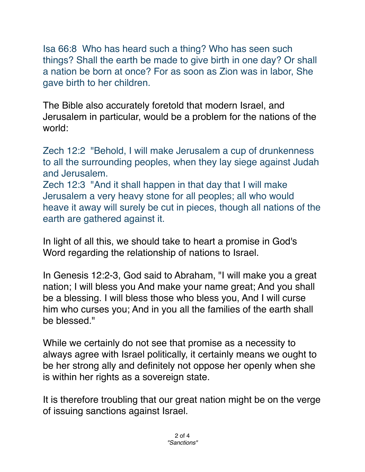Isa 66:8 Who has heard such a thing? Who has seen such things? Shall the earth be made to give birth in one day? Or shall a nation be born at once? For as soon as Zion was in labor, She gave birth to her children.

The Bible also accurately foretold that modern Israel, and Jerusalem in particular, would be a problem for the nations of the world:

Zech 12:2 "Behold, I will make Jerusalem a cup of drunkenness to all the surrounding peoples, when they lay siege against Judah and Jerusalem.

Zech 12:3 "And it shall happen in that day that I will make Jerusalem a very heavy stone for all peoples; all who would heave it away will surely be cut in pieces, though all nations of the earth are gathered against it.

In light of all this, we should take to heart a promise in God's Word regarding the relationship of nations to Israel.

In Genesis 12:2-3, God said to Abraham, "I will make you a great nation; I will bless you And make your name great; And you shall be a blessing. I will bless those who bless you, And I will curse him who curses you; And in you all the families of the earth shall be blessed."

While we certainly do not see that promise as a necessity to always agree with Israel politically, it certainly means we ought to be her strong ally and definitely not oppose her openly when she is within her rights as a sovereign state.

It is therefore troubling that our great nation might be on the verge of issuing sanctions against Israel.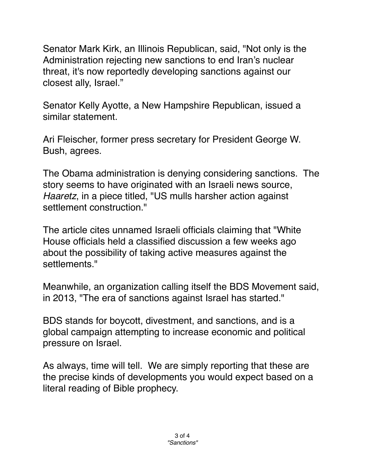Senator Mark Kirk, an Illinois Republican, said, "Not only is the Administration rejecting new sanctions to end Iran's nuclear threat, it's now reportedly developing sanctions against our closest ally, Israel."

Senator Kelly Ayotte, a New Hampshire Republican, issued a similar statement.

Ari Fleischer, former press secretary for President George W. Bush, agrees.

The Obama administration is denying considering sanctions. The story seems to have originated with an Israeli news source, *Haaretz*, in a piece titled, "US mulls harsher action against settlement construction."

The article cites unnamed Israeli officials claiming that "White House officials held a classified discussion a few weeks ago about the possibility of taking active measures against the settlements."

Meanwhile, an organization calling itself the BDS Movement said, in 2013, "The era of sanctions against Israel has started."

BDS stands for boycott, divestment, and sanctions, and is a global campaign attempting to increase economic and political pressure on Israel.

As always, time will tell. We are simply reporting that these are the precise kinds of developments you would expect based on a literal reading of Bible prophecy.